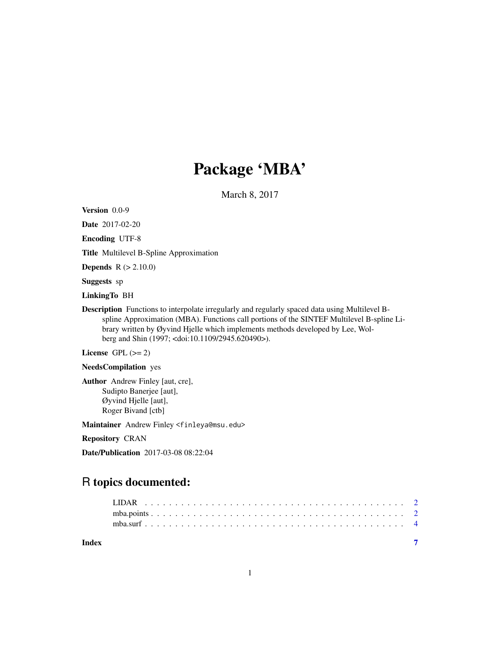## Package 'MBA'

March 8, 2017

Version 0.0-9

Date 2017-02-20

Encoding UTF-8

Title Multilevel B-Spline Approximation

**Depends**  $R$  ( $> 2.10.0$ )

Suggests sp

LinkingTo BH

Description Functions to interpolate irregularly and regularly spaced data using Multilevel Bspline Approximation (MBA). Functions call portions of the SINTEF Multilevel B-spline Library written by Øyvind Hjelle which implements methods developed by Lee, Wolberg and Shin (1997; <doi:10.1109/2945.620490>).

License GPL  $(>= 2)$ 

NeedsCompilation yes

Author Andrew Finley [aut, cre], Sudipto Banerjee [aut], Øyvind Hjelle [aut], Roger Bivand [ctb]

Maintainer Andrew Finley <finleya@msu.edu>

Repository CRAN

Date/Publication 2017-03-08 08:22:04

### R topics documented:

| Index |  |  |  |  |  |  |  |  |  |  |  |  |  |  |  |  |  |
|-------|--|--|--|--|--|--|--|--|--|--|--|--|--|--|--|--|--|
|       |  |  |  |  |  |  |  |  |  |  |  |  |  |  |  |  |  |
|       |  |  |  |  |  |  |  |  |  |  |  |  |  |  |  |  |  |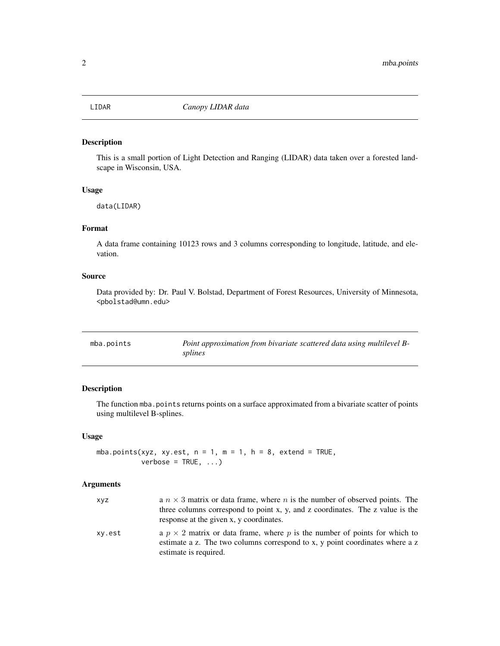<span id="page-1-0"></span>

#### Description

This is a small portion of Light Detection and Ranging (LIDAR) data taken over a forested landscape in Wisconsin, USA.

#### Usage

data(LIDAR)

#### Format

A data frame containing 10123 rows and 3 columns corresponding to longitude, latitude, and elevation.

#### Source

Data provided by: Dr. Paul V. Bolstad, Department of Forest Resources, University of Minnesota, <pbolstad@umn.edu>

<span id="page-1-1"></span>

| mba.points | Point approximation from bivariate scattered data using multilevel B- |
|------------|-----------------------------------------------------------------------|
|            | splines                                                               |

#### Description

The function mba.points returns points on a surface approximated from a bivariate scatter of points using multilevel B-splines.

#### Usage

mba.points(xyz, xy.est,  $n = 1$ ,  $m = 1$ ,  $h = 8$ , extend = TRUE,  $verbose = TRUE, ...)$ 

#### Arguments

| xyz    | a $n \times 3$ matrix or data frame, where n is the number of observed points. The<br>three columns correspond to point x, y, and z coordinates. The z value is the<br>response at the given x, y coordinates. |
|--------|----------------------------------------------------------------------------------------------------------------------------------------------------------------------------------------------------------------|
| xy.est | a $p \times 2$ matrix or data frame, where p is the number of points for which to<br>estimate a z. The two columns correspond to x, y point coordinates where a z<br>estimate is required.                     |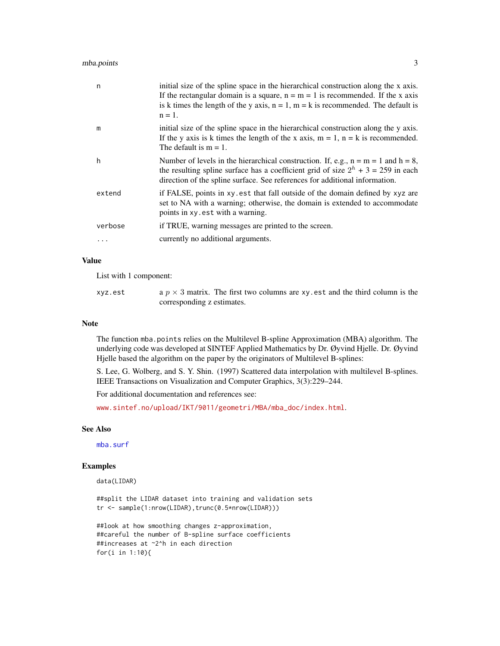#### <span id="page-2-0"></span>mba.points 3

| n       | initial size of the spline space in the hierarchical construction along the x axis.<br>If the rectangular domain is a square, $n = m = 1$ is recommended. If the x axis<br>is k times the length of the y axis, $n = 1$ , $m = k$ is recommended. The default is<br>$n = 1$ . |
|---------|-------------------------------------------------------------------------------------------------------------------------------------------------------------------------------------------------------------------------------------------------------------------------------|
| m       | initial size of the spline space in the hierarchical construction along the y axis.<br>If the y axis is k times the length of the x axis, $m = 1$ , $n = k$ is recommended.<br>The default is $m = 1$ .                                                                       |
| h       | Number of levels in the hierarchical construction. If, e.g., $n = m = 1$ and $h = 8$ ,<br>the resulting spline surface has a coefficient grid of size $2^h + 3 = 259$ in each<br>direction of the spline surface. See references for additional information.                  |
| extend  | if FALSE, points in xy est that fall outside of the domain defined by xyz are<br>set to NA with a warning; otherwise, the domain is extended to accommodate<br>points in xy.est with a warning.                                                                               |
| verbose | if TRUE, warning messages are printed to the screen.                                                                                                                                                                                                                          |
|         | currently no additional arguments.                                                                                                                                                                                                                                            |
|         |                                                                                                                                                                                                                                                                               |

#### Value

List with 1 component:

| xyz.est | a $p \times 3$ matrix. The first two columns are xy est and the third column is the |
|---------|-------------------------------------------------------------------------------------|
|         | corresponding z estimates.                                                          |

#### Note

The function mba.points relies on the Multilevel B-spline Approximation (MBA) algorithm. The underlying code was developed at SINTEF Applied Mathematics by Dr. Øyvind Hjelle. Dr. Øyvind Hjelle based the algorithm on the paper by the originators of Multilevel B-splines:

S. Lee, G. Wolberg, and S. Y. Shin. (1997) Scattered data interpolation with multilevel B-splines. IEEE Transactions on Visualization and Computer Graphics, 3(3):229–244.

For additional documentation and references see:

[www.sintef.no/upload/IKT/9011/geometri/MBA/mba\\_doc/index.html](www.sintef.no/upload/IKT/9011/geometri/MBA/mba_doc/index.html).

#### See Also

[mba.surf](#page-3-1)

#### Examples

data(LIDAR)

##split the LIDAR dataset into training and validation sets tr <- sample(1:nrow(LIDAR),trunc(0.5\*nrow(LIDAR)))

##look at how smoothing changes z-approximation, ##careful the number of B-spline surface coefficients ##increases at ~2^h in each direction for(i in 1:10){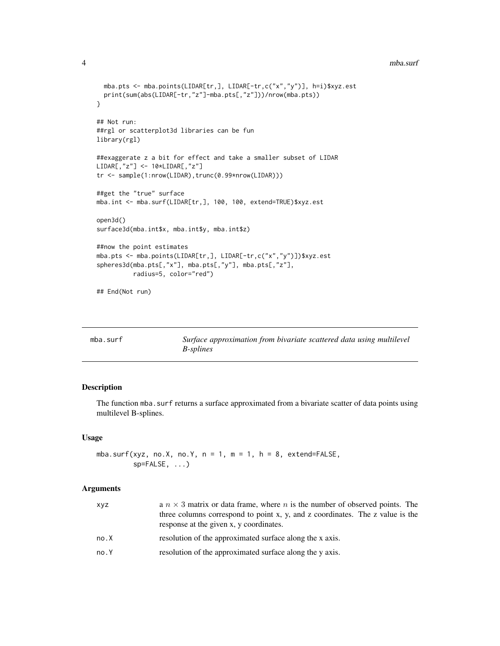#### 4 mba.surf

```
mba.pts <- mba.points(LIDAR[tr,], LIDAR[-tr,c("x","y")], h=i)$xyz.est
  print(sum(abs(LIDAR[-tr,"z"]-mba.pts[,"z"]))/nrow(mba.pts))
}
## Not run:
##rgl or scatterplot3d libraries can be fun
library(rgl)
##exaggerate z a bit for effect and take a smaller subset of LIDAR
LIDAR[,"z"] <- 10*LIDAR[,"z"]
tr <- sample(1:nrow(LIDAR),trunc(0.99*nrow(LIDAR)))
##get the "true" surface
mba.int <- mba.surf(LIDAR[tr,], 100, 100, extend=TRUE)$xyz.est
open3d()
surface3d(mba.int$x, mba.int$y, mba.int$z)
##now the point estimates
mba.pts <- mba.points(LIDAR[tr,], LIDAR[-tr,c("x","y")])$xyz.est
spheres3d(mba.pts[,"x"], mba.pts[,"y"], mba.pts[,"z"],
         radius=5, color="red")
## End(Not run)
```
<span id="page-3-1"></span>

| mba.surf | Surface approximation from bivariate scattered data using multilevel |
|----------|----------------------------------------------------------------------|
|          | <i>B-splines</i>                                                     |

#### Description

The function mba. surf returns a surface approximated from a bivariate scatter of data points using multilevel B-splines.

#### Usage

mba.surf(xyz, no.X, no.Y, n = 1, m = 1, h = 8, extend=FALSE,  $sp=FALSE, \ldots)$ 

#### Arguments

| xyz  | a $n \times 3$ matrix or data frame, where <i>n</i> is the number of observed points. The<br>three columns correspond to point x, y, and z coordinates. The z value is the |
|------|----------------------------------------------------------------------------------------------------------------------------------------------------------------------------|
|      | response at the given x, y coordinates.                                                                                                                                    |
| no.X | resolution of the approximated surface along the x axis.                                                                                                                   |
| no.Y | resolution of the approximated surface along the y axis.                                                                                                                   |

<span id="page-3-0"></span>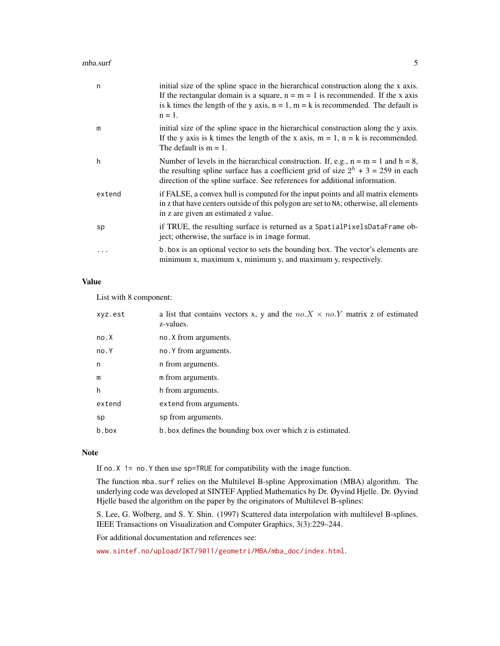#### mba.surf 5

| n      | initial size of the spline space in the hierarchical construction along the x axis.<br>If the rectangular domain is a square, $n = m = 1$ is recommended. If the x axis<br>is k times the length of the y axis, $n = 1$ , $m = k$ is recommended. The default is<br>$n = 1$ . |
|--------|-------------------------------------------------------------------------------------------------------------------------------------------------------------------------------------------------------------------------------------------------------------------------------|
| m      | initial size of the spline space in the hierarchical construction along the y axis.<br>If the y axis is k times the length of the x axis, $m = 1$ , $n = k$ is recommended.<br>The default is $m = 1$ .                                                                       |
| h      | Number of levels in the hierarchical construction. If, e.g., $n = m = 1$ and $h = 8$ ,<br>the resulting spline surface has a coefficient grid of size $2^h + 3 = 259$ in each<br>direction of the spline surface. See references for additional information.                  |
| extend | if FALSE, a convex hull is computed for the input points and all matrix elements<br>in z that have centers outside of this polygon are set to NA; otherwise, all elements<br>in z are given an estimated z value.                                                             |
| sp     | if TRUE, the resulting surface is returned as a SpatialPixelsDataFrame ob-<br>ject; otherwise, the surface is in image format.                                                                                                                                                |
| .      | b box is an optional vector to sets the bounding box. The vector's elements are<br>minimum x, maximum x, minimum y, and maximum y, respectively.                                                                                                                              |

#### Value

List with 8 component:

| xyz.est | a list that contains vectors x, y and the $no.X \times no.Y$ matrix z of estimated<br>z-values. |
|---------|-------------------------------------------------------------------------------------------------|
| no.X    | no. X from arguments.                                                                           |
| no.Y    | no. Y from arguments.                                                                           |
| n       | n from arguments.                                                                               |
| m       | m from arguments.                                                                               |
| h       | h from arguments.                                                                               |
| extend  | extend from arguments.                                                                          |
| sp      | sp from arguments.                                                                              |
| b.box   | b box defines the bounding box over which z is estimated.                                       |

#### Note

If no.X != no.Y then use sp=TRUE for compatibility with the image function.

The function mba.surf relies on the Multilevel B-spline Approximation (MBA) algorithm. The underlying code was developed at SINTEF Applied Mathematics by Dr. Øyvind Hjelle. Dr. Øyvind Hjelle based the algorithm on the paper by the originators of Multilevel B-splines:

S. Lee, G. Wolberg, and S. Y. Shin. (1997) Scattered data interpolation with multilevel B-splines. IEEE Transactions on Visualization and Computer Graphics, 3(3):229–244.

For additional documentation and references see:

[www.sintef.no/upload/IKT/9011/geometri/MBA/mba\\_doc/index.html](www.sintef.no/upload/IKT/9011/geometri/MBA/mba_doc/index.html).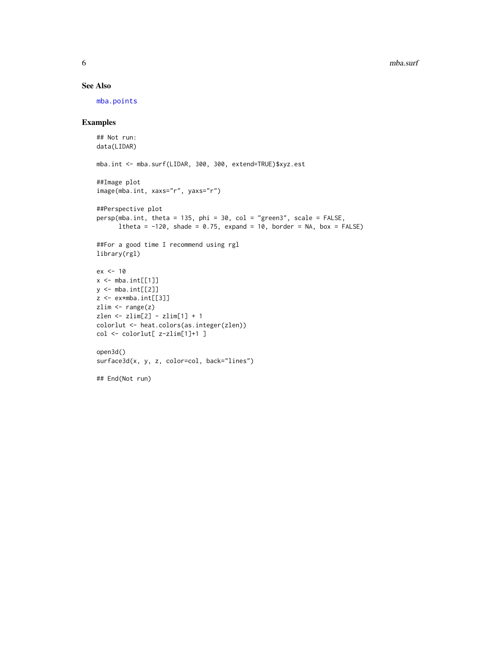#### See Also

[mba.points](#page-1-1)

#### Examples

```
## Not run:
data(LIDAR)
mba.int <- mba.surf(LIDAR, 300, 300, extend=TRUE)$xyz.est
##Image plot
image(mba.int, xaxs="r", yaxs="r")
##Perspective plot
persp(mba.int, theta = 135, phi = 30, col = "green3", scale = FALSE,
      ltheta = -120, shade = 0.75, expand = 10, border = NA, box = FALSE)
##For a good time I recommend using rgl
library(rgl)
ex < -10x \leq - mba.int[[1]]
y \leftarrow mba.int[[2]]z <- ex*mba.int[[3]]
zlim \leftarrow range(z)zlen <- zlim[2] - zlim[1] + 1
colorlut <- heat.colors(as.integer(zlen))
col <- colorlut[ z-zlim[1]+1 ]
open3d()
surface3d(x, y, z, color=col, back="lines")
## End(Not run)
```
<span id="page-5-0"></span>